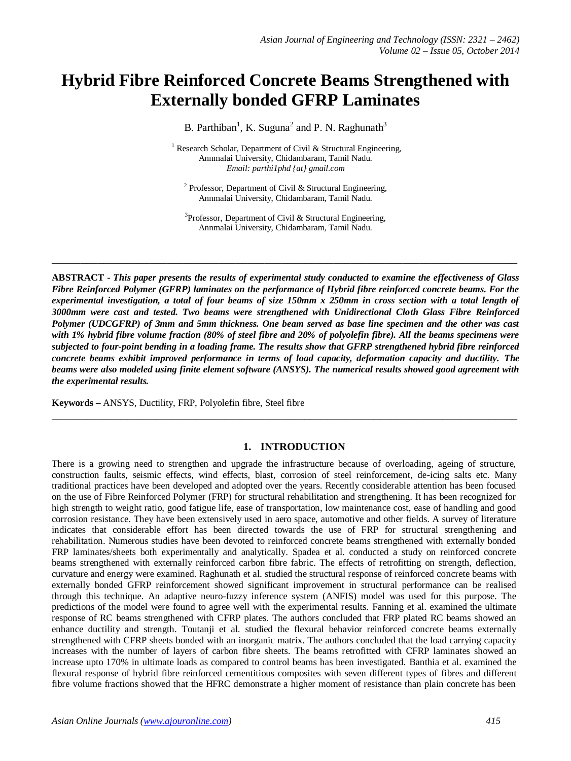# **Hybrid Fibre Reinforced Concrete Beams Strengthened with Externally bonded GFRP Laminates**

B. Parthiban<sup>1</sup>, K. Suguna<sup>2</sup> and P. N. Raghunath<sup>3</sup>

<sup>1</sup> Research Scholar, Department of Civil & Structural Engineering, Annmalai University, Chidambaram, Tamil Nadu. *Email: parthi1phd {at} gmail.com*

<sup>2</sup> Professor, Department of Civil & Structural Engineering, Annmalai University, Chidambaram, Tamil Nadu.

<sup>3</sup>Professor, Department of Civil & Structural Engineering, Annmalai University, Chidambaram, Tamil Nadu.

**\_\_\_\_\_\_\_\_\_\_\_\_\_\_\_\_\_\_\_\_\_\_\_\_\_\_\_\_\_\_\_\_\_\_\_\_\_\_\_\_\_\_\_\_\_\_\_\_\_\_\_\_\_\_\_\_\_\_\_\_\_\_\_\_\_\_\_\_\_\_\_\_\_\_\_\_\_\_\_\_\_**

**ABSTRACT -** *This paper presents the results of experimental study conducted to examine the effectiveness of Glass Fibre Reinforced Polymer (GFRP) laminates on the performance of Hybrid fibre reinforced concrete beams. For the experimental investigation, a total of four beams of size 150mm x 250mm in cross section with a total length of 3000mm were cast and tested. Two beams were strengthened with Unidirectional Cloth Glass Fibre Reinforced Polymer (UDCGFRP) of 3mm and 5mm thickness. One beam served as base line specimen and the other was cast with 1% hybrid fibre volume fraction (80% of steel fibre and 20% of polyolefin fibre). All the beams specimens were subjected to four-point bending in a loading frame. The results show that GFRP strengthened hybrid fibre reinforced concrete beams exhibit improved performance in terms of load capacity, deformation capacity and ductility. The beams were also modeled using finite element software (ANSYS). The numerical results showed good agreement with the experimental results.*

**Keywords –** ANSYS, Ductility, FRP, Polyolefin fibre, Steel fibre

## **1. INTRODUCTION**

**\_\_\_\_\_\_\_\_\_\_\_\_\_\_\_\_\_\_\_\_\_\_\_\_\_\_\_\_\_\_\_\_\_\_\_\_\_\_\_\_\_\_\_\_\_\_\_\_\_\_\_\_\_\_\_\_\_\_\_\_\_\_\_\_\_\_\_\_\_\_\_\_\_\_\_\_\_\_\_\_\_**

There is a growing need to strengthen and upgrade the infrastructure because of overloading, ageing of structure, construction faults, seismic effects, wind effects, blast, corrosion of steel reinforcement, de-icing salts etc. Many traditional practices have been developed and adopted over the years. Recently considerable attention has been focused on the use of Fibre Reinforced Polymer (FRP) for structural rehabilitation and strengthening. It has been recognized for high strength to weight ratio, good fatigue life, ease of transportation, low maintenance cost, ease of handling and good corrosion resistance. They have been extensively used in aero space, automotive and other fields. A survey of literature indicates that considerable effort has been directed towards the use of FRP for structural strengthening and rehabilitation. Numerous studies have been devoted to reinforced concrete beams strengthened with externally bonded FRP laminates/sheets both experimentally and analytically. Spadea et al. conducted a study on reinforced concrete beams strengthened with externally reinforced carbon fibre fabric. The effects of retrofitting on strength, deflection, curvature and energy were examined. Raghunath et al. studied the structural response of reinforced concrete beams with externally bonded GFRP reinforcement showed significant improvement in structural performance can be realised through this technique. An adaptive neuro-fuzzy inference system (ANFIS) model was used for this purpose. The predictions of the model were found to agree well with the experimental results. Fanning et al. examined the ultimate response of RC beams strengthened with CFRP plates. The authors concluded that FRP plated RC beams showed an enhance ductility and strength. Toutanji et al. studied the flexural behavior reinforced concrete beams externally strengthened with CFRP sheets bonded with an inorganic matrix. The authors concluded that the load carrying capacity increases with the number of layers of carbon fibre sheets. The beams retrofitted with CFRP laminates showed an increase upto 170% in ultimate loads as compared to control beams has been investigated. Banthia et al. examined the flexural response of hybrid fibre reinforced cementitious composites with seven different types of fibres and different fibre volume fractions showed that the HFRC demonstrate a higher moment of resistance than plain concrete has been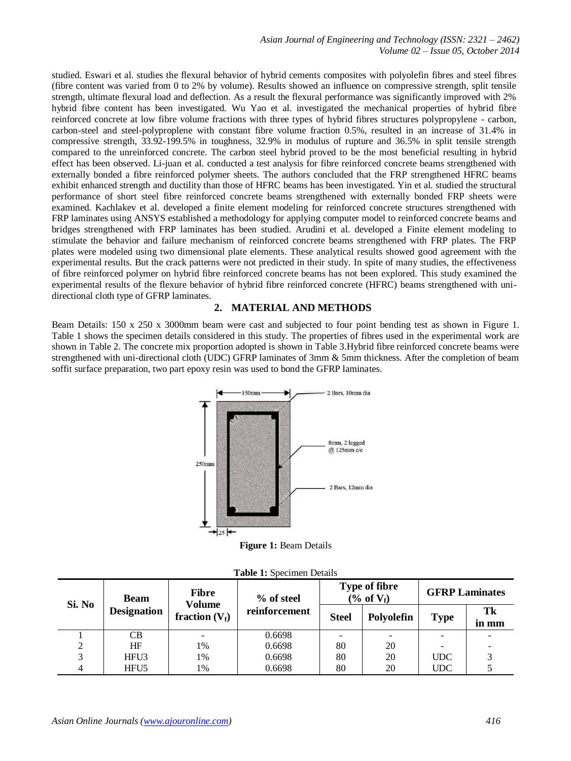studied. Eswari et al. studies the flexural behavior of hybrid cements composites with polyolefin fibres and steel fibres (fibre content was varied from 0 to 2% by volume). Results showed an influence on compressive strength, split tensile strength, ultimate flexural load and deflection. As a result the flexural performance was significantly improved with 2% hybrid fibre content has been investigated. Wu Yao et al. investigated the mechanical properties of hybrid fibre reinforced concrete at low fibre volume fractions with three types of hybrid fibres structures polypropylene - carbon, carbon-steel and steel-polyproplene with constant fibre volume fraction 0.5%, resulted in an increase of 31.4% in compressive strength, 33.92-199.5% in toughness, 32.9% in modulus of rupture and 36.5% in split tensile strength compared to the unreinforced concrete. The carbon steel hybrid proved to be the most beneficial resulting in hybrid effect has been observed. Li-juan et al. conducted a test analysis for fibre reinforced concrete beams strengthened with externally bonded a fibre reinforced polymer sheets. The authors concluded that the FRP strengthened HFRC beams exhibit enhanced strength and ductility than those of HFRC beams has been investigated. Yin et al. studied the structural performance of short steel fibre reinforced concrete beams strengthened with externally bonded FRP sheets were examined. Kachlakev et al. developed a finite element modeling for reinforced concrete structures strengthened with FRP laminates using ANSYS established a methodology for applying computer model to reinforced concrete beams and bridges strengthened with FRP laminates has been studied. Arudini et al. developed a Finite element modeling to stimulate the behavior and failure mechanism of reinforced concrete beams strengthened with FRP plates. The FRP plates were modeled using two dimensional plate elements. These analytical results showed good agreement with the experimental results. But the crack patterns were not predicted in their study. In spite of many studies, the effectiveness of fibre reinforced polymer on hybrid fibre reinforced concrete beams has not been explored. This study examined the experimental results of the flexure behavior of hybrid fibre reinforced concrete (HFRC) beams strengthened with unidirectional cloth type of GFRP laminates.

## **2. MATERIAL AND METHODS**

Beam Details: 150 x 250 x 3000mm beam were cast and subjected to four point bending test as shown in Figure 1. Table 1 shows the specimen details considered in this study. The properties of fibres used in the experimental work are shown in Table 2. The concrete mix proportion adopted is shown in Table 3.Hybrid fibre reinforced concrete beams were strengthened with uni-directional cloth (UDC) GFRP laminates of 3mm & 5mm thickness. After the completion of beam soffit surface preparation, two part epoxy resin was used to bond the GFRP laminates.



**Figure 1:** Beam Details

| Si. No | <b>Beam</b><br><b>Designation</b> | <b>Fibre</b><br>Volume<br>fraction $(V_f)$ | % of steel    |              | <b>Type of fibre</b><br>$(\% \text{ of } V_f)$ | <b>GFRP Laminates</b> |              |
|--------|-----------------------------------|--------------------------------------------|---------------|--------------|------------------------------------------------|-----------------------|--------------|
|        |                                   |                                            | reinforcement | <b>Steel</b> | Polyolefin                                     | <b>Type</b>           | Tk<br>in mm  |
|        | CB.                               |                                            | 0.6698        |              |                                                |                       |              |
|        | HF                                | 1%                                         | 0.6698        | 80           | 20                                             |                       |              |
| 3      | HFU <sub>3</sub>                  | 1%                                         | 0.6698        | 80           | 20                                             | <b>UDC</b>            | $\mathbf{c}$ |
|        | HFU <sub>5</sub>                  | 1%                                         | 0.6698        | 80           | 20                                             | <b>UDC</b>            |              |

|  |  |  | Table 1: Specimen Details |  |
|--|--|--|---------------------------|--|
|--|--|--|---------------------------|--|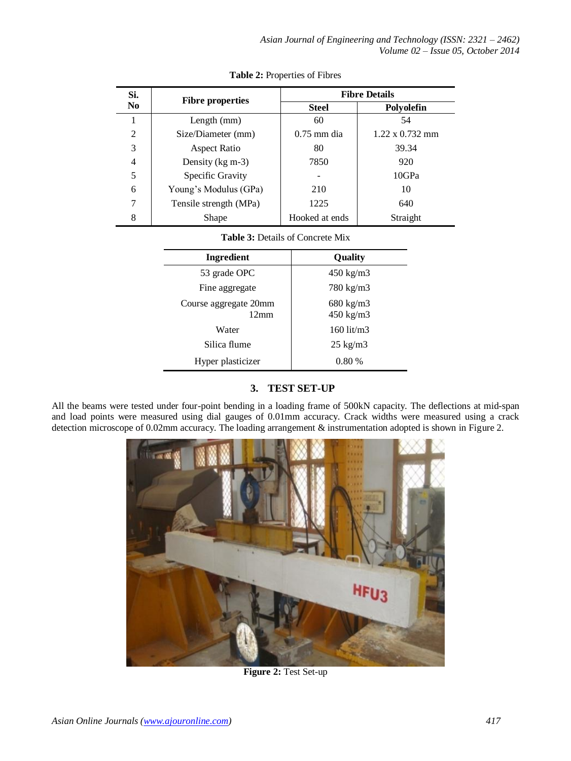| Si.            | <b>Fibre properties</b> | <b>Fibre Details</b> |                        |  |  |
|----------------|-------------------------|----------------------|------------------------|--|--|
| N <sub>0</sub> |                         | <b>Steel</b>         | Polyolefin             |  |  |
|                | Length $(mm)$           | 60                   | 54                     |  |  |
| 2              | Size/Diameter (mm)      | $0.75$ mm dia        | $1.22 \times 0.732$ mm |  |  |
| 3              | Aspect Ratio            | 80                   | 39.34                  |  |  |
| 4              | Density $(kg \, m-3)$   | 7850                 | 920                    |  |  |
| 5              | Specific Gravity        |                      | 10GPa                  |  |  |
| 6              | Young's Modulus (GPa)   | 210                  | 10                     |  |  |
| 7              | Tensile strength (MPa)  | 1225                 | 640                    |  |  |
| 8              | Shape                   | Hooked at ends       | Straight               |  |  |

**Table 2:** Properties of Fibres

# **Table 3:** Details of Concrete Mix

| <b>Ingredient</b>                       | Quality                           |  |  |
|-----------------------------------------|-----------------------------------|--|--|
| 53 grade OPC                            | $450 \text{ kg/m}$ 3              |  |  |
| Fine aggregate                          | 780 kg/m3                         |  |  |
| Course aggregate 20mm<br>$12 \text{mm}$ | $680 \text{ kg/m}$ 3<br>450 kg/m3 |  |  |
| Water                                   | $160$ lit/m3                      |  |  |
| Silica flume                            | $25 \text{ kg/m}$ 3               |  |  |
| Hyper plasticizer                       | 0.80%                             |  |  |

# **3. TEST SET-UP**

All the beams were tested under four-point bending in a loading frame of 500kN capacity. The deflections at mid-span and load points were measured using dial gauges of 0.01mm accuracy. Crack widths were measured using a crack detection microscope of 0.02mm accuracy. The loading arrangement & instrumentation adopted is shown in Figure 2.



**Figure 2:** Test Set-up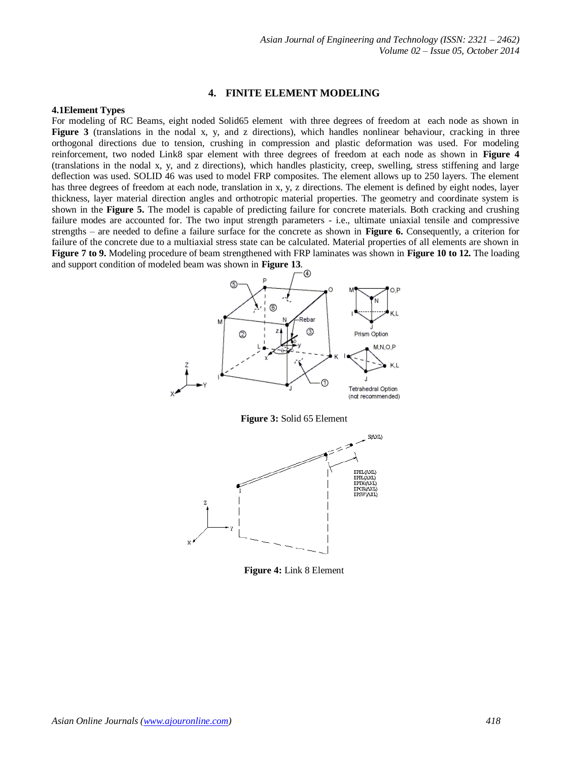#### **4. FINITE ELEMENT MODELING**

#### **4.1Element Types**

For modeling of RC Beams, eight noded Solid65 element with three degrees of freedom at each node as shown in **Figure 3** (translations in the nodal x, y, and z directions), which handles nonlinear behaviour, cracking in three orthogonal directions due to tension, crushing in compression and plastic deformation was used. For modeling reinforcement, two noded Link8 spar element with three degrees of freedom at each node as shown in **Figure 4** (translations in the nodal x, y, and z directions), which handles plasticity, creep, swelling, stress stiffening and large deflection was used. SOLID 46 was used to model FRP composites. The element allows up to 250 layers. The element has three degrees of freedom at each node, translation in x, y, z directions. The element is defined by eight nodes, layer thickness, layer material direction angles and orthotropic material properties. The geometry and coordinate system is shown in the **Figure 5.** The model is capable of predicting failure for concrete materials. Both cracking and crushing failure modes are accounted for. The two input strength parameters - i.e., ultimate uniaxial tensile and compressive strengths – are needed to define a failure surface for the concrete as shown in **Figure 6.** Consequently, a criterion for failure of the concrete due to a multiaxial stress state can be calculated. Material properties of all elements are shown in **Figure 7 to 9.** Modeling procedure of beam strengthened with FRP laminates was shown in **Figure 10 to 12.** The loading and support condition of modeled beam was shown in **Figure 13**.







**Figure 4:** Link 8 Element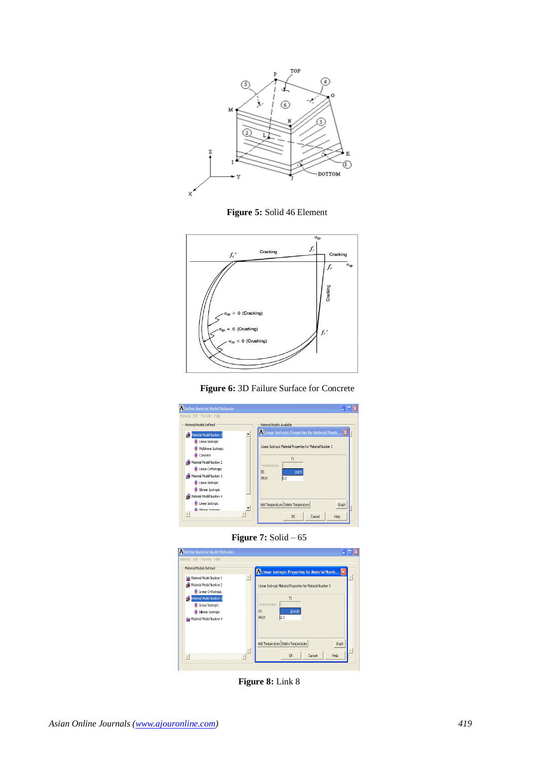

**Figure 5:** Solid 46 Element







**Figure 7:** Solid – 65



**Figure 8:** Link 8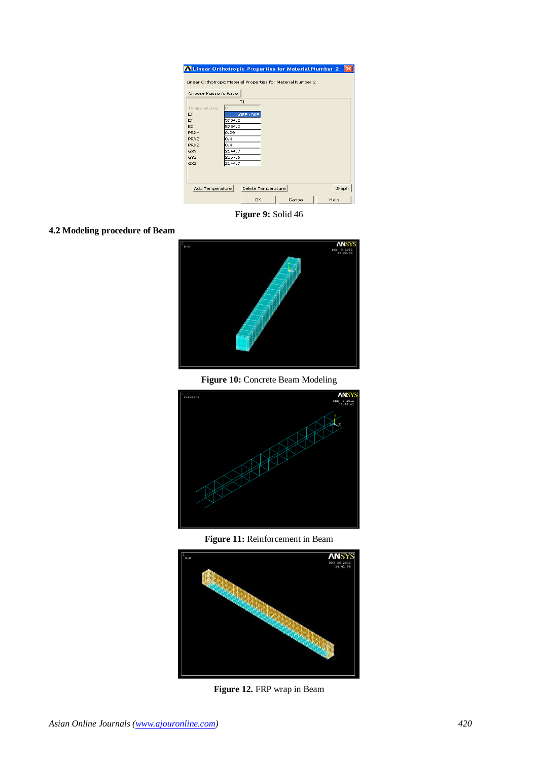| A Linear Orthotropic Properties for Material Number 2        |                  |                    |        |      |       |
|--------------------------------------------------------------|------------------|--------------------|--------|------|-------|
| Linear Orthotropic Material Properties for Material Number 2 |                  |                    |        |      |       |
|                                                              |                  |                    |        |      |       |
| Choose Poisson's Ratio                                       |                  |                    |        |      |       |
|                                                              | T1               |                    |        |      |       |
| Temperatures                                                 |                  |                    |        |      |       |
| <b>FX</b>                                                    |                  | 1.05E+005          |        |      |       |
| EY                                                           | 5784.2           |                    |        |      |       |
| EZ.                                                          | 5784.2           |                    |        |      |       |
| PRXY                                                         | 0.29             |                    |        |      |       |
| PRYZ                                                         | IO.4             |                    |        |      |       |
| PR <sub>X7</sub>                                             | In.4             |                    |        |      |       |
| GXY<br>GYZ                                                   | 2144.7           |                    |        |      |       |
| GXZ                                                          | 2057.6<br>2144.7 |                    |        |      |       |
|                                                              |                  |                    |        |      |       |
|                                                              |                  |                    |        |      |       |
|                                                              |                  |                    |        |      |       |
| Add Temperature                                              |                  | Delete Temperature |        |      | Graph |
|                                                              |                  | OK                 | Cancel | Help |       |

**Figure 9:** Solid 46

## **4.2 Modeling procedure of Beam**



**Figure 10:** Concrete Beam Modeling



**Figure 11:** Reinforcement in Beam



**Figure 12.** FRP wrap in Beam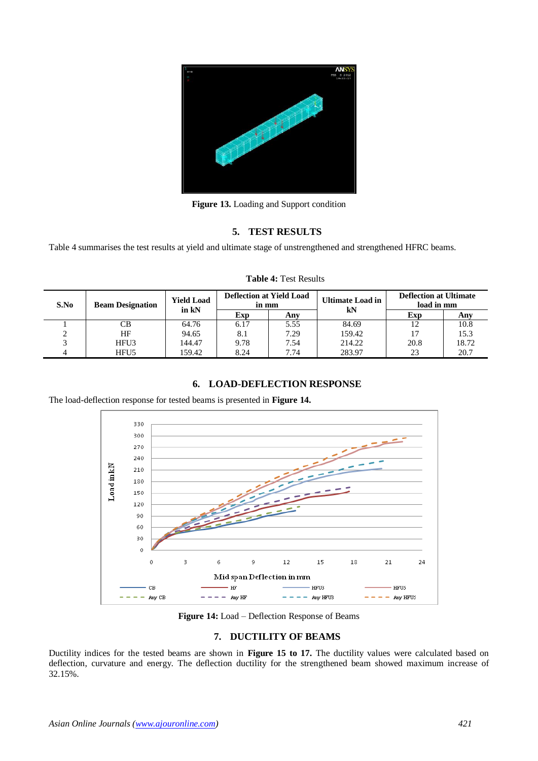

**Figure 13.** Loading and Support condition

## **5. TEST RESULTS**

Table 4 summarises the test results at yield and ultimate stage of unstrengthened and strengthened HFRC beams.

| S.No | <b>Beam Designation</b> | <b>Yield Load</b><br>in kN | <b>Deflection at Yield Load</b><br>in mm |      | <b>Ultimate Load in</b><br>kN | <b>Deflection at Ultimate</b><br>load in mm |       |
|------|-------------------------|----------------------------|------------------------------------------|------|-------------------------------|---------------------------------------------|-------|
|      |                         |                            | Exp                                      | Any  |                               | Exp                                         | Any   |
|      | CВ                      | 64.76                      | 6.17                                     | 5.55 | 84.69                         |                                             | 10.8  |
|      | HF                      | 94.65                      | 8.1                                      | 7.29 | 159.42                        |                                             | 15.3  |
|      | HFU3                    | 144.47                     | 9.78                                     | 7.54 | 214.22                        | 20.8                                        | 18.72 |
|      | HFU <sub>5</sub>        | 159.42                     | 8.24                                     | 7.74 | 283.97                        | 23                                          | 20.7  |

#### **Table 4:** Test Results

## **6. LOAD-DEFLECTION RESPONSE**

The load-deflection response for tested beams is presented in **Figure 14.**



**Figure 14:** Load – Deflection Response of Beams

## **7. DUCTILITY OF BEAMS**

Ductility indices for the tested beams are shown in **Figure 15 to 17.** The ductility values were calculated based on deflection, curvature and energy. The deflection ductility for the strengthened beam showed maximum increase of 32.15%.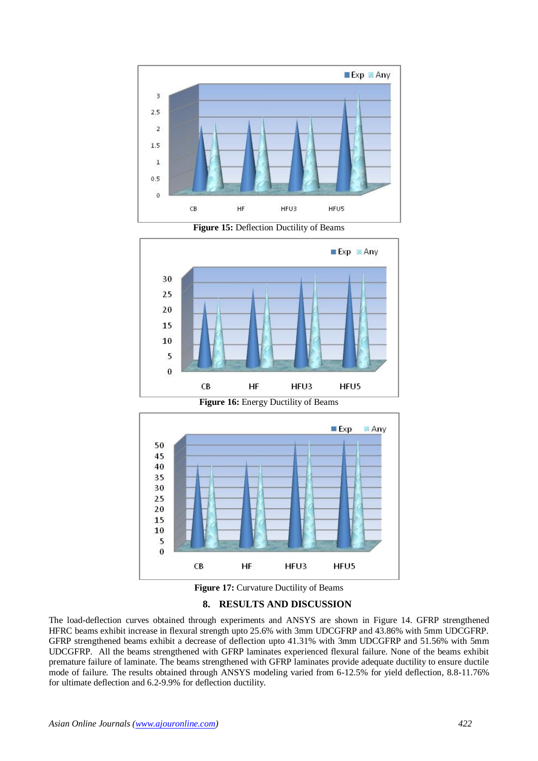

**Figure 15:** Deflection Ductility of Beams



**Figure 16:** Energy Ductility of Beams





#### **8. RESULTS AND DISCUSSION**

The load-deflection curves obtained through experiments and ANSYS are shown in Figure 14. GFRP strengthened HFRC beams exhibit increase in flexural strength upto 25.6% with 3mm UDCGFRP and 43.86% with 5mm UDCGFRP. GFRP strengthened beams exhibit a decrease of deflection upto 41.31% with 3mm UDCGFRP and 51.56% with 5mm UDCGFRP. All the beams strengthened with GFRP laminates experienced flexural failure. None of the beams exhibit premature failure of laminate. The beams strengthened with GFRP laminates provide adequate ductility to ensure ductile mode of failure. The results obtained through ANSYS modeling varied from 6-12.5% for yield deflection, 8.8-11.76% for ultimate deflection and 6.2-9.9% for deflection ductility.